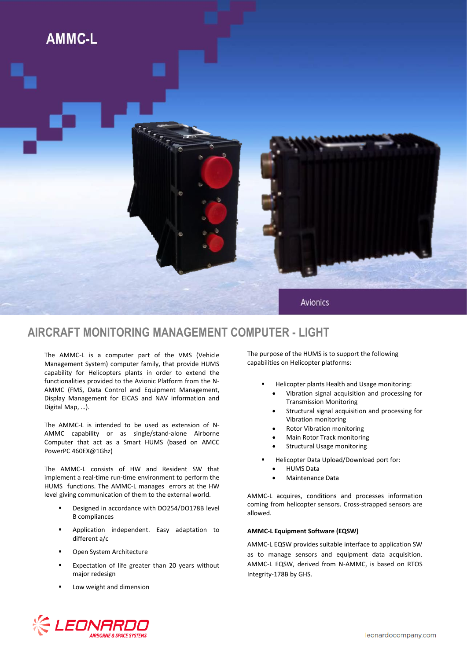

## **AIRCRAFT MONITORING MANAGEMENT COMPUTER - LIGHT**

The AMMC-L is a computer part of the VMS (Vehicle Management System) computer family, that provide HUMS capability for Helicopters plants in order to extend the functionalities provided to the Avionic Platform from the N-AMMC (FMS, Data Control and Equipment Management, Display Management for EICAS and NAV information and Digital Map, …).

The AMMC-L is intended to be used as extension of N-AMMC capability or as single/stand-alone Airborne Computer that act as a Smart HUMS (based on AMCC PowerPC 460EX@1Ghz)

The AMMC-L consists of HW and Resident SW that implement a real-time run-time environment to perform the HUMS functions. The AMMC-L manages errors at the HW level giving communication of them to the external world.

- Designed in accordance with DO254/DO178B level B compliances
- **Application independent. Easy adaptation to** different a/c
- **•** Open System Architecture
- Expectation of life greater than 20 years without major redesign
- Low weight and dimension

The purpose of the HUMS is to support the following capabilities on Helicopter platforms:

- Helicopter plants Health and Usage monitoring:
	- Vibration signal acquisition and processing for Transmission Monitoring
	- Structural signal acquisition and processing for Vibration monitoring
	- Rotor Vibration monitoring
	- Main Rotor Track monitoring
	- Structural Usage monitoring
- Helicopter Data Upload/Download port for:
	- HUMS Data
	- Maintenance Data

AMMC-L acquires, conditions and processes information coming from helicopter sensors. Cross-strapped sensors are allowed.

## **AMMC-L Equipment Software (EQSW)**

AMMC-L EQSW provides suitable interface to application SW as to manage sensors and equipment data acquisition. AMMC-L EQSW, derived from N-AMMC, is based on RTOS Integrity-178B by GHS.